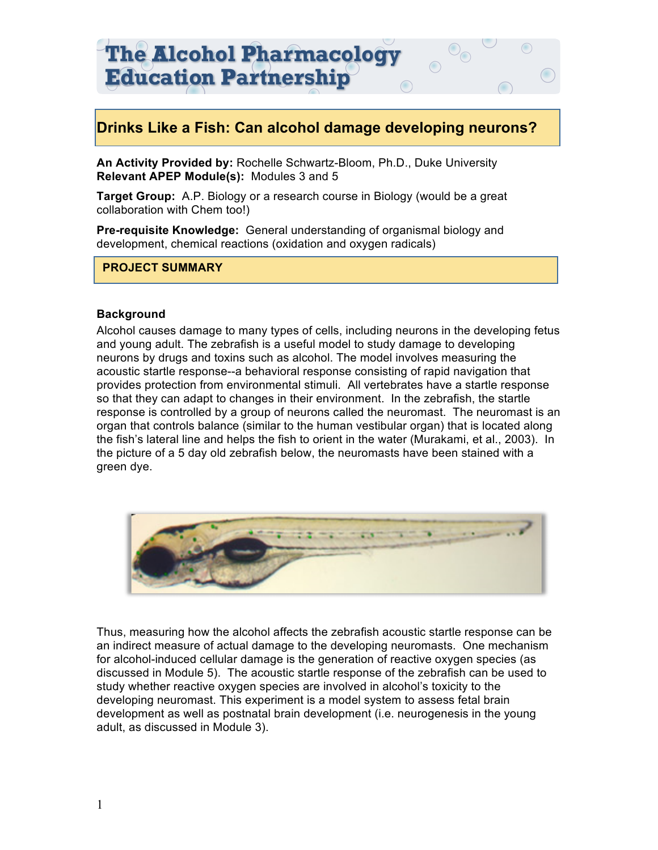# **Drinks Like a Fish: Can alcohol damage developing neurons?**

**An Activity Provided by:** Rochelle Schwartz-Bloom, Ph.D., Duke University **Relevant APEP Module(s):** Modules 3 and 5

**Target Group:** A.P. Biology or a research course in Biology (would be a great collaboration with Chem too!)

**Pre-requisite Knowledge:** General understanding of organismal biology and development, chemical reactions (oxidation and oxygen radicals)

#### **PROJECT SUMMARY**

#### **Background**

Alcohol causes damage to many types of cells, including neurons in the developing fetus and young adult. The zebrafish is a useful model to study damage to developing neurons by drugs and toxins such as alcohol. The model involves measuring the acoustic startle response--a behavioral response consisting of rapid navigation that provides protection from environmental stimuli. All vertebrates have a startle response so that they can adapt to changes in their environment. In the zebrafish, the startle response is controlled by a group of neurons called the neuromast. The neuromast is an organ that controls balance (similar to the human vestibular organ) that is located along the fish's lateral line and helps the fish to orient in the water (Murakami, et al., 2003). In the picture of a 5 day old zebrafish below, the neuromasts have been stained with a green dye.



Thus, measuring how the alcohol affects the zebrafish acoustic startle response can be an indirect measure of actual damage to the developing neuromasts. One mechanism for alcohol-induced cellular damage is the generation of reactive oxygen species (as discussed in Module 5). The acoustic startle response of the zebrafish can be used to study whether reactive oxygen species are involved in alcohol's toxicity to the developing neuromast. This experiment is a model system to assess fetal brain development as well as postnatal brain development (i.e. neurogenesis in the young adult, as discussed in Module 3).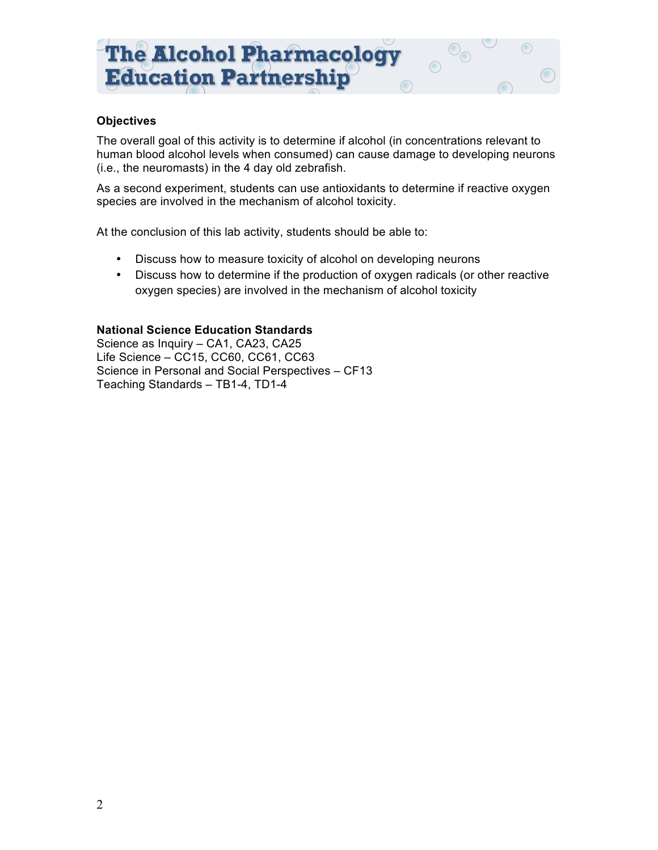#### **Objectives**

The overall goal of this activity is to determine if alcohol (in concentrations relevant to human blood alcohol levels when consumed) can cause damage to developing neurons (i.e., the neuromasts) in the 4 day old zebrafish.

 $\bigcirc$ 

As a second experiment, students can use antioxidants to determine if reactive oxygen species are involved in the mechanism of alcohol toxicity.

At the conclusion of this lab activity, students should be able to:

- Discuss how to measure toxicity of alcohol on developing neurons
- Discuss how to determine if the production of oxygen radicals (or other reactive oxygen species) are involved in the mechanism of alcohol toxicity

#### **National Science Education Standards**

Science as Inquiry – CA1, CA23, CA25 Life Science – CC15, CC60, CC61, CC63 Science in Personal and Social Perspectives – CF13 Teaching Standards – TB1-4, TD1-4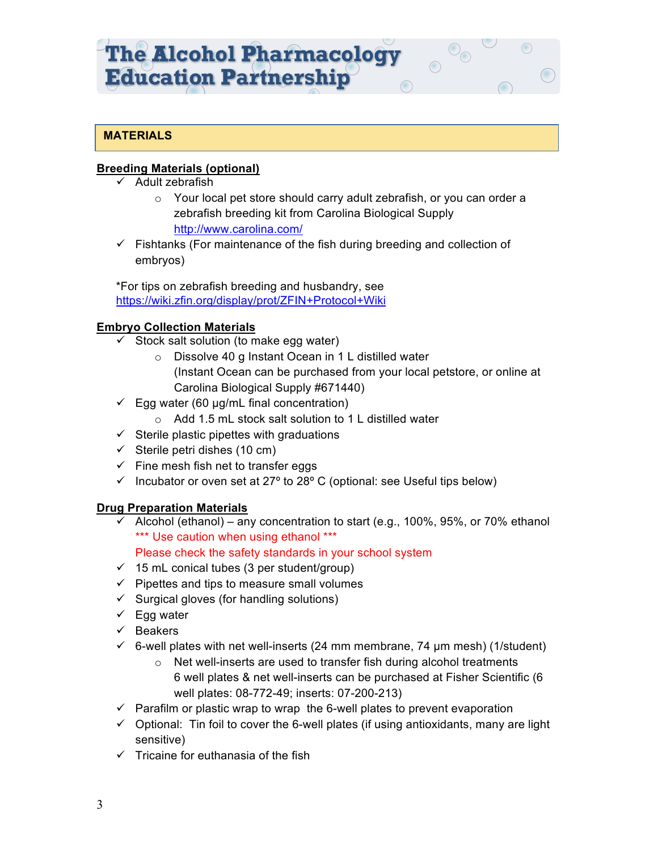# **MATERIALS**

# **Breeding Materials (optional)**

- $\checkmark$  Adult zebrafish
	- o Your local pet store should carry adult zebrafish, or you can order a zebrafish breeding kit from Carolina Biological Supply http://www.carolina.com/
- $\checkmark$  Fishtanks (For maintenance of the fish during breeding and collection of embryos)

\*For tips on zebrafish breeding and husbandry, see https://wiki.zfin.org/display/prot/ZFIN+Protocol+Wiki

# **Embryo Collection Materials**

- $\checkmark$  Stock salt solution (to make egg water)
	- o Dissolve 40 g Instant Ocean in 1 L distilled water (Instant Ocean can be purchased from your local petstore, or online at Carolina Biological Supply #671440)
- $\checkmark$  Egg water (60 µg/mL final concentration)
	- o Add 1.5 mL stock salt solution to 1 L distilled water
- $\checkmark$  Sterile plastic pipettes with graduations
- $\checkmark$  Sterile petri dishes (10 cm)
- $\checkmark$  Fine mesh fish net to transfer eggs
- $\checkmark$  Incubator or oven set at 27° to 28° C (optional: see Useful tips below)

#### **Drug Preparation Materials**

 $\checkmark$  Alcohol (ethanol) – any concentration to start (e.g., 100%, 95%, or 70% ethanol \*\*\* Use caution when using ethanol \*\*\*

Please check the safety standards in your school system

- $\checkmark$  15 mL conical tubes (3 per student/group)
- $\checkmark$  Pipettes and tips to measure small volumes
- $\checkmark$  Surgical gloves (for handling solutions)
- $\checkmark$  Egg water
- $\checkmark$  Beakers
- $\check{\phantom{1}}$  6-well plates with net well-inserts (24 mm membrane, 74 µm mesh) (1/student)
	- o Net well-inserts are used to transfer fish during alcohol treatments 6 well plates & net well-inserts can be purchased at Fisher Scientific (6 well plates: 08-772-49; inserts: 07-200-213)
- $\checkmark$  Parafilm or plastic wrap to wrap the 6-well plates to prevent evaporation
- $\checkmark$  Optional: Tin foil to cover the 6-well plates (if using antioxidants, many are light sensitive)
- $\checkmark$  Tricaine for euthanasia of the fish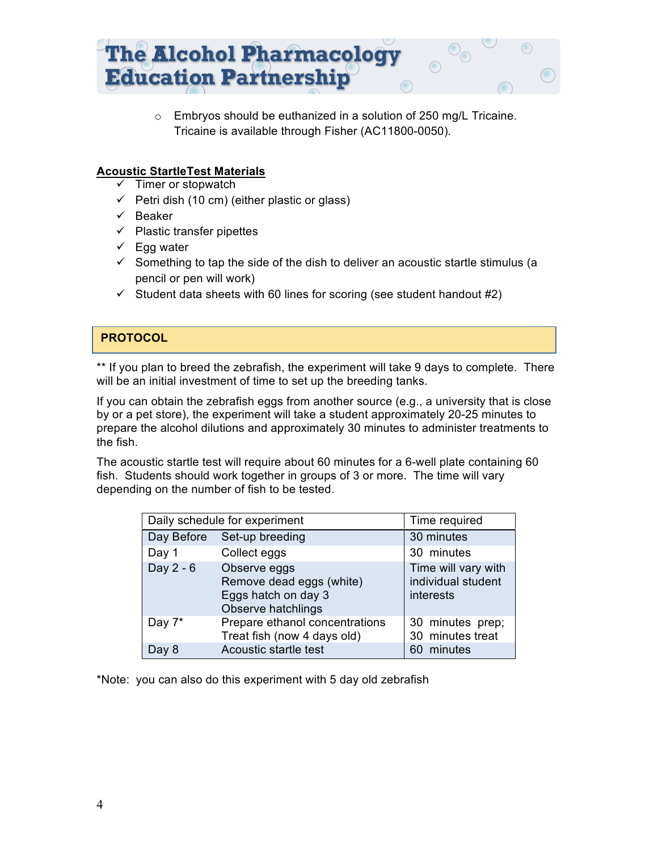

 $\circ$  Embryos should be euthanized in a solution of 250 mg/L Tricaine. Tricaine is available through Fisher (AC11800-0050).

# **Acoustic StartleTest Materials**

- $\checkmark$  Timer or stopwatch
- $\checkmark$  Petri dish (10 cm) (either plastic or glass)
- $\checkmark$  Beaker
- $\checkmark$  Plastic transfer pipettes
- $\checkmark$  Egg water
- $\checkmark$  Something to tap the side of the dish to deliver an acoustic startle stimulus (a pencil or pen will work)
- $\checkmark$  Student data sheets with 60 lines for scoring (see student handout #2)

# **PROTOCOL**

\*\* If you plan to breed the zebrafish, the experiment will take 9 days to complete. There will be an initial investment of time to set up the breeding tanks.

If you can obtain the zebrafish eggs from another source (e.g., a university that is close by or a pet store), the experiment will take a student approximately 20-25 minutes to prepare the alcohol dilutions and approximately 30 minutes to administer treatments to the fish.

The acoustic startle test will require about 60 minutes for a 6-well plate containing 60 fish. Students should work together in groups of 3 or more. The time will vary depending on the number of fish to be tested.

| Daily schedule for experiment |                                                                                       | Time required                                          |
|-------------------------------|---------------------------------------------------------------------------------------|--------------------------------------------------------|
| Day Before                    | Set-up breeding                                                                       | 30 minutes                                             |
| Day 1                         | Collect eggs                                                                          | 30 minutes                                             |
| Day 2 - 6                     | Observe eggs<br>Remove dead eggs (white)<br>Eggs hatch on day 3<br>Observe hatchlings | Time will vary with<br>individual student<br>interests |
| Day 7*                        | Prepare ethanol concentrations<br>Treat fish (now 4 days old)                         | 30 minutes prep;<br>30 minutes treat                   |
| Day 8                         | Acoustic startle test                                                                 | 60 minutes                                             |

\*Note: you can also do this experiment with 5 day old zebrafish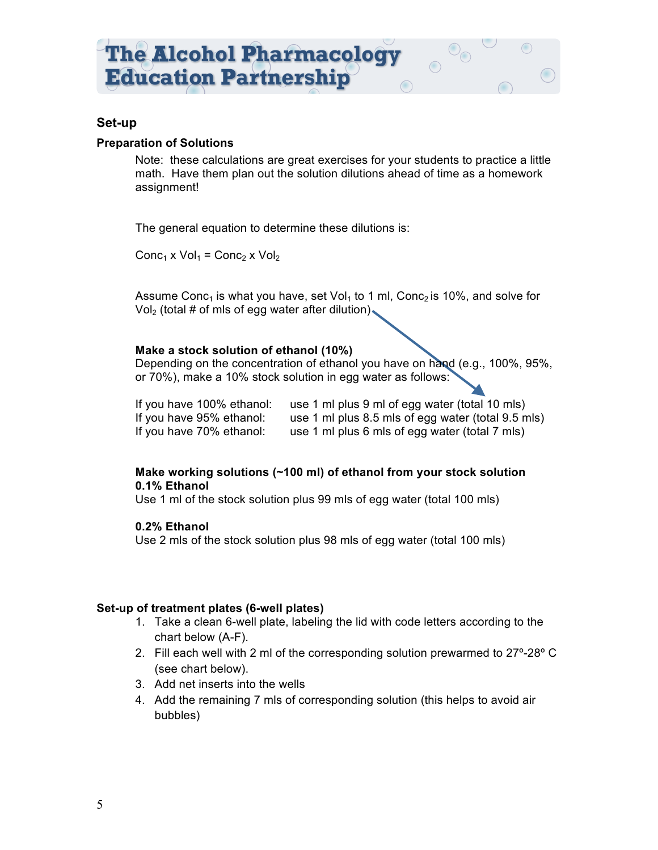#### **Set-up**

#### **Preparation of Solutions**

Note: these calculations are great exercises for your students to practice a little math. Have them plan out the solution dilutions ahead of time as a homework assignment!

The general equation to determine these dilutions is:

Conc<sub>1</sub> x Vol<sub>1</sub> = Conc<sub>2</sub> x Vol<sub>2</sub>

Assume Conc<sub>1</sub> is what you have, set Vol<sub>1</sub> to 1 ml, Conc<sub>2</sub> is 10%, and solve for  $Vol<sub>2</sub>$  (total # of mls of egg water after dilution).

#### **Make a stock solution of ethanol (10%)**

Depending on the concentration of ethanol you have on hand (e.g., 100%, 95%, or 70%), make a 10% stock solution in egg water as follows:

If you have 100% ethanol: use 1 ml plus 9 ml of egg water (total 10 mls) If you have 95% ethanol: use 1 ml plus 8.5 mls of egg water (total 9.5 mls) If you have 70% ethanol: use 1 ml plus 6 mls of egg water (total 7 mls)

#### **Make working solutions (~100 ml) of ethanol from your stock solution 0.1% Ethanol**

Use 1 ml of the stock solution plus 99 mls of egg water (total 100 mls)

#### **0.2% Ethanol**

Use 2 mls of the stock solution plus 98 mls of egg water (total 100 mls)

#### **Set-up of treatment plates (6-well plates)**

- 1. Take a clean 6-well plate, labeling the lid with code letters according to the chart below (A-F).
- 2. Fill each well with 2 ml of the corresponding solution prewarmed to 27º-28º C (see chart below).
- 3. Add net inserts into the wells
- 4. Add the remaining 7 mls of corresponding solution (this helps to avoid air bubbles)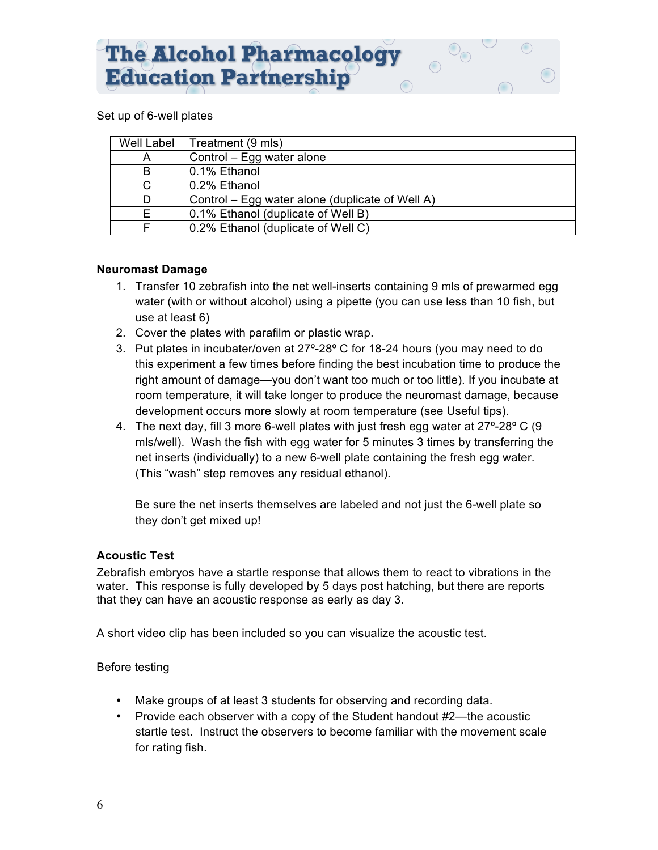#### Set up of 6-well plates

| Well Label | Treatment (9 mls)                               |
|------------|-------------------------------------------------|
| Α          | Control – Egg water alone                       |
| B          | 0.1% Ethanol                                    |
| C.         | 0.2% Ethanol                                    |
| D.         | Control – Egg water alone (duplicate of Well A) |
| F.         | 0.1% Ethanol (duplicate of Well B)              |
|            | 0.2% Ethanol (duplicate of Well C)              |

#### **Neuromast Damage**

- 1. Transfer 10 zebrafish into the net well-inserts containing 9 mls of prewarmed egg water (with or without alcohol) using a pipette (you can use less than 10 fish, but use at least 6)
- 2. Cover the plates with parafilm or plastic wrap.
- 3. Put plates in incubater/oven at 27º-28º C for 18-24 hours (you may need to do this experiment a few times before finding the best incubation time to produce the right amount of damage—you don't want too much or too little). If you incubate at room temperature, it will take longer to produce the neuromast damage, because development occurs more slowly at room temperature (see Useful tips).
- 4. The next day, fill 3 more 6-well plates with just fresh egg water at 27º-28º C (9 mls/well). Wash the fish with egg water for 5 minutes 3 times by transferring the net inserts (individually) to a new 6-well plate containing the fresh egg water. (This "wash" step removes any residual ethanol).

Be sure the net inserts themselves are labeled and not just the 6-well plate so they don't get mixed up!

#### **Acoustic Test**

Zebrafish embryos have a startle response that allows them to react to vibrations in the water. This response is fully developed by 5 days post hatching, but there are reports that they can have an acoustic response as early as day 3.

A short video clip has been included so you can visualize the acoustic test.

#### Before testing

- Make groups of at least 3 students for observing and recording data.
- Provide each observer with a copy of the Student handout #2—the acoustic startle test. Instruct the observers to become familiar with the movement scale for rating fish.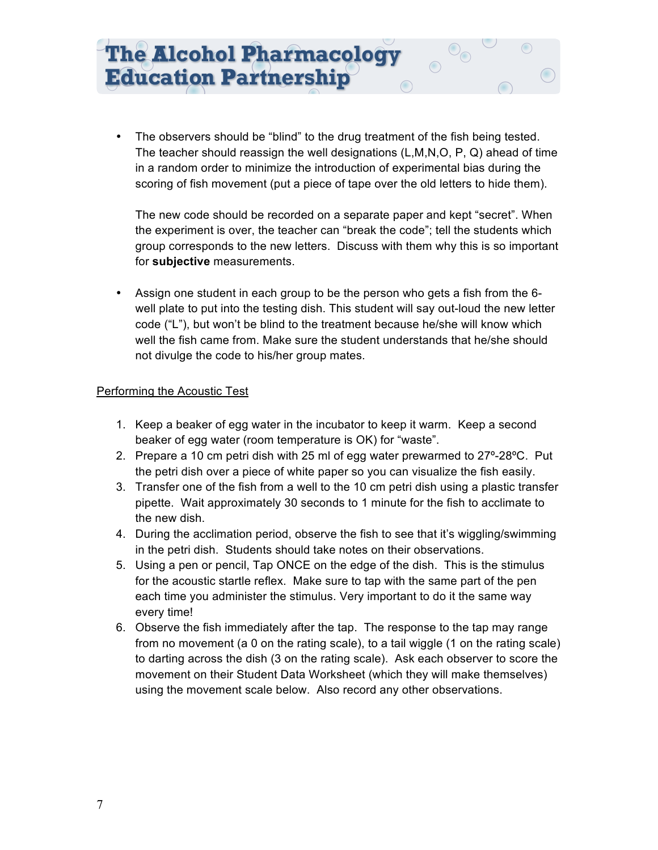• The observers should be "blind" to the drug treatment of the fish being tested. The teacher should reassign the well designations (L,M,N,O, P, Q) ahead of time in a random order to minimize the introduction of experimental bias during the scoring of fish movement (put a piece of tape over the old letters to hide them).

The new code should be recorded on a separate paper and kept "secret". When the experiment is over, the teacher can "break the code"; tell the students which group corresponds to the new letters. Discuss with them why this is so important for **subjective** measurements.

• Assign one student in each group to be the person who gets a fish from the 6 well plate to put into the testing dish. This student will say out-loud the new letter code ("L"), but won't be blind to the treatment because he/she will know which well the fish came from. Make sure the student understands that he/she should not divulge the code to his/her group mates.

#### Performing the Acoustic Test

- 1. Keep a beaker of egg water in the incubator to keep it warm. Keep a second beaker of egg water (room temperature is OK) for "waste".
- 2. Prepare a 10 cm petri dish with 25 ml of egg water prewarmed to 27º-28ºC. Put the petri dish over a piece of white paper so you can visualize the fish easily.
- 3. Transfer one of the fish from a well to the 10 cm petri dish using a plastic transfer pipette. Wait approximately 30 seconds to 1 minute for the fish to acclimate to the new dish.
- 4. During the acclimation period, observe the fish to see that it's wiggling/swimming in the petri dish. Students should take notes on their observations.
- 5. Using a pen or pencil, Tap ONCE on the edge of the dish. This is the stimulus for the acoustic startle reflex. Make sure to tap with the same part of the pen each time you administer the stimulus. Very important to do it the same way every time!
- 6. Observe the fish immediately after the tap. The response to the tap may range from no movement (a 0 on the rating scale), to a tail wiggle (1 on the rating scale) to darting across the dish (3 on the rating scale). Ask each observer to score the movement on their Student Data Worksheet (which they will make themselves) using the movement scale below. Also record any other observations.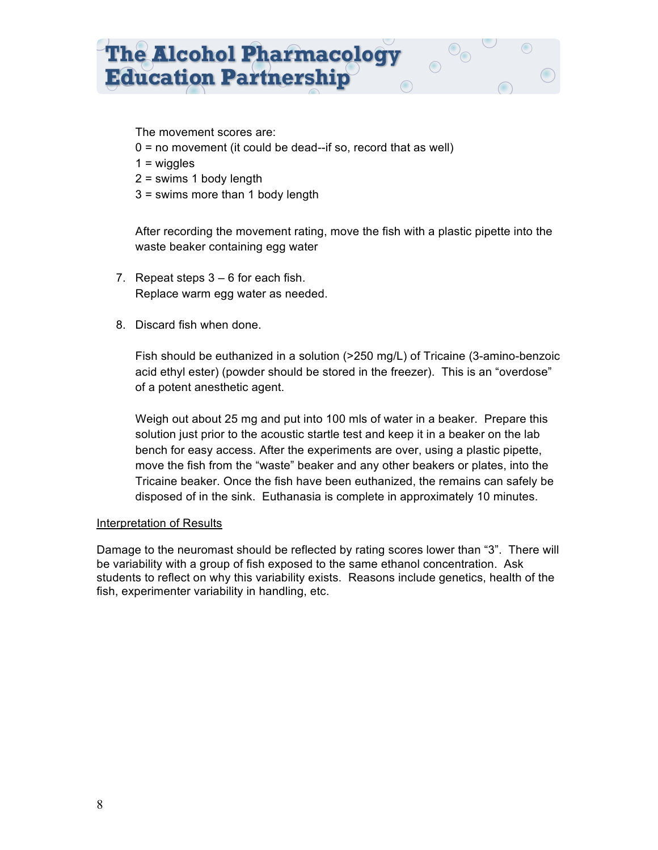The movement scores are:

- $0 =$  no movement (it could be dead--if so, record that as well)
- $1 = wiggles$
- $2 =$  swims 1 body length
- 3 = swims more than 1 body length

After recording the movement rating, move the fish with a plastic pipette into the waste beaker containing egg water

- 7. Repeat steps  $3 6$  for each fish. Replace warm egg water as needed.
- 8. Discard fish when done.

Fish should be euthanized in a solution (>250 mg/L) of Tricaine (3-amino-benzoic acid ethyl ester) (powder should be stored in the freezer). This is an "overdose" of a potent anesthetic agent.

Weigh out about 25 mg and put into 100 mls of water in a beaker. Prepare this solution just prior to the acoustic startle test and keep it in a beaker on the lab bench for easy access. After the experiments are over, using a plastic pipette, move the fish from the "waste" beaker and any other beakers or plates, into the Tricaine beaker. Once the fish have been euthanized, the remains can safely be disposed of in the sink. Euthanasia is complete in approximately 10 minutes.

#### Interpretation of Results

Damage to the neuromast should be reflected by rating scores lower than "3". There will be variability with a group of fish exposed to the same ethanol concentration. Ask students to reflect on why this variability exists. Reasons include genetics, health of the fish, experimenter variability in handling, etc.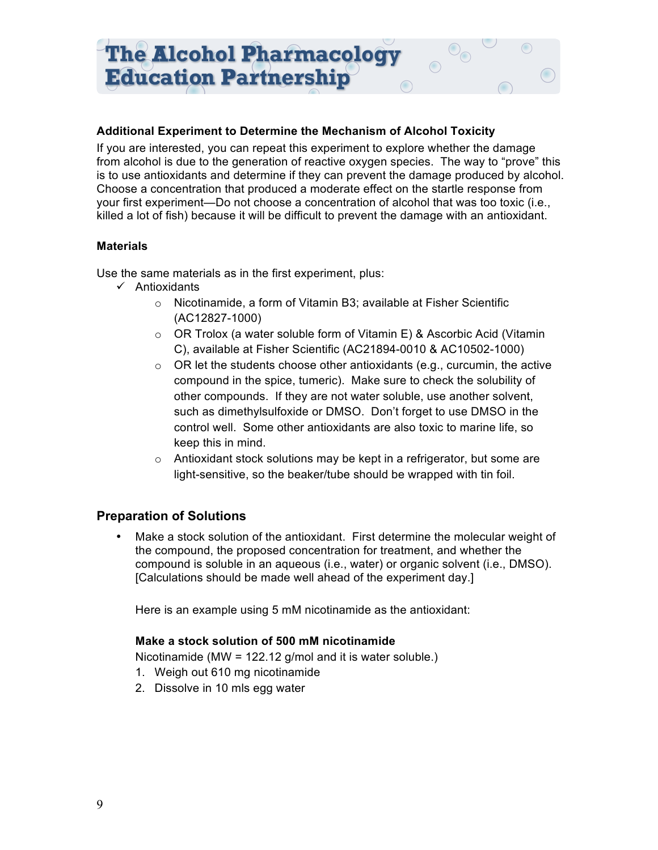#### **Additional Experiment to Determine the Mechanism of Alcohol Toxicity**

If you are interested, you can repeat this experiment to explore whether the damage from alcohol is due to the generation of reactive oxygen species. The way to "prove" this is to use antioxidants and determine if they can prevent the damage produced by alcohol. Choose a concentration that produced a moderate effect on the startle response from your first experiment—Do not choose a concentration of alcohol that was too toxic (i.e., killed a lot of fish) because it will be difficult to prevent the damage with an antioxidant.

#### **Materials**

Use the same materials as in the first experiment, plus:

- $\checkmark$  Antioxidants
	- o Nicotinamide, a form of Vitamin B3; available at Fisher Scientific (AC12827-1000)
	- $\circ$  OR Trolox (a water soluble form of Vitamin E) & Ascorbic Acid (Vitamin C), available at Fisher Scientific (AC21894-0010 & AC10502-1000)
	- $\circ$  OR let the students choose other antioxidants (e.g., curcumin, the active compound in the spice, tumeric). Make sure to check the solubility of other compounds. If they are not water soluble, use another solvent, such as dimethylsulfoxide or DMSO. Don't forget to use DMSO in the control well. Some other antioxidants are also toxic to marine life, so keep this in mind.
	- $\circ$  Antioxidant stock solutions may be kept in a refrigerator, but some are light-sensitive, so the beaker/tube should be wrapped with tin foil.

# **Preparation of Solutions**

• Make a stock solution of the antioxidant. First determine the molecular weight of the compound, the proposed concentration for treatment, and whether the compound is soluble in an aqueous (i.e., water) or organic solvent (i.e., DMSO). [Calculations should be made well ahead of the experiment day.]

Here is an example using 5 mM nicotinamide as the antioxidant:

#### **Make a stock solution of 500 mM nicotinamide**

Nicotinamide (MW = 122.12 g/mol and it is water soluble.)

- 1. Weigh out 610 mg nicotinamide
- 2. Dissolve in 10 mls egg water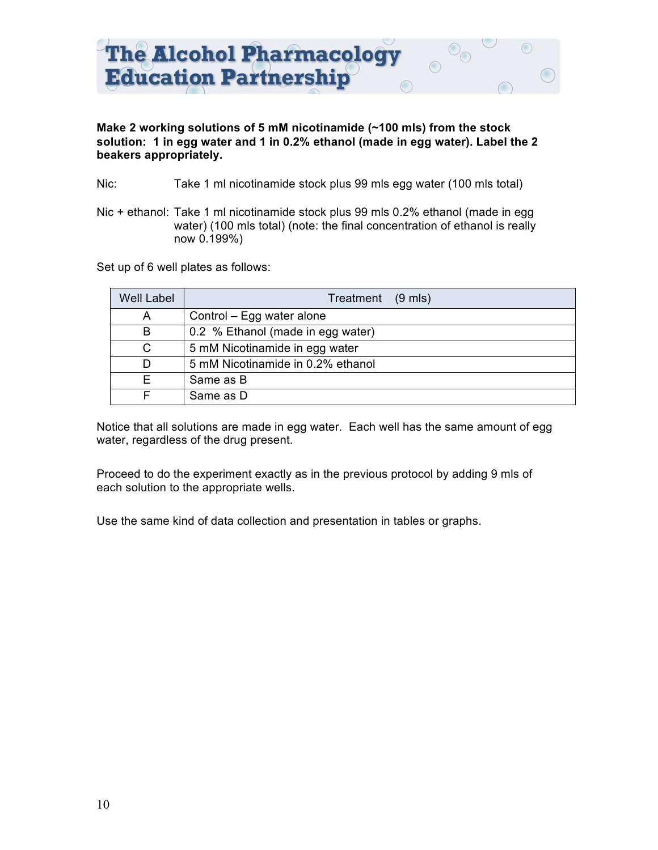

#### **Make 2 working solutions of 5 mM nicotinamide (~100 mls) from the stock solution: 1 in egg water and 1 in 0.2% ethanol (made in egg water). Label the 2 beakers appropriately.**

- Nic: Take 1 ml nicotinamide stock plus 99 mls egg water (100 mls total)
- Nic + ethanol: Take 1 ml nicotinamide stock plus 99 mls 0.2% ethanol (made in egg water) (100 mls total) (note: the final concentration of ethanol is really now 0.199%)

Set up of 6 well plates as follows:

| <b>Well Label</b> | Treatment (9 mls)                 |
|-------------------|-----------------------------------|
| A                 | Control – Egg water alone         |
| B                 | 0.2 % Ethanol (made in egg water) |
| C                 | 5 mM Nicotinamide in egg water    |
| D                 | 5 mM Nicotinamide in 0.2% ethanol |
| F.                | Same as B                         |
|                   | Same as D                         |

Notice that all solutions are made in egg water. Each well has the same amount of egg water, regardless of the drug present.

Proceed to do the experiment exactly as in the previous protocol by adding 9 mls of each solution to the appropriate wells.

Use the same kind of data collection and presentation in tables or graphs.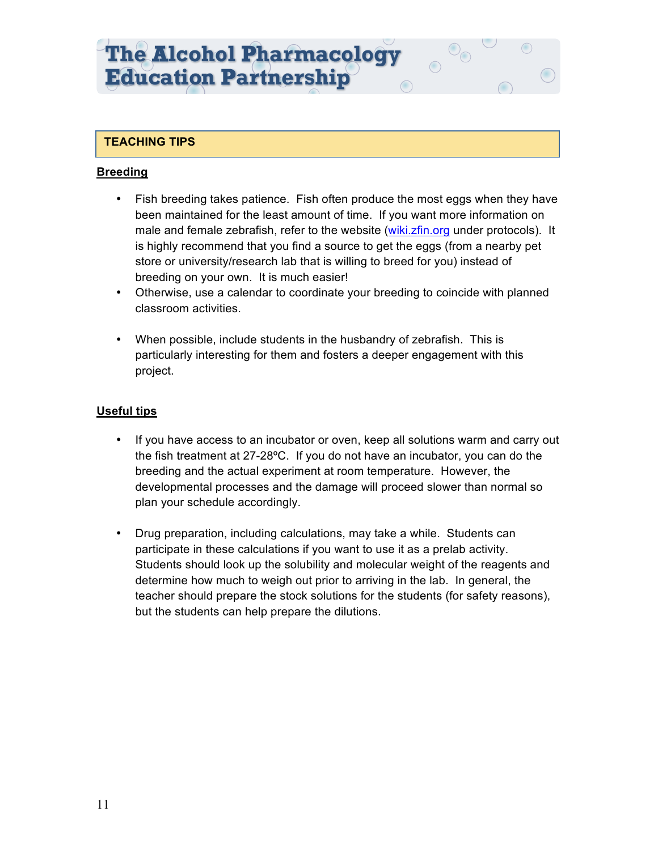# **TEACHING TIPS**

# **Breeding**

- Fish breeding takes patience. Fish often produce the most eggs when they have been maintained for the least amount of time. If you want more information on male and female zebrafish, refer to the website (wiki.zfin.org under protocols). It is highly recommend that you find a source to get the eggs (from a nearby pet store or university/research lab that is willing to breed for you) instead of breeding on your own. It is much easier!
- Otherwise, use a calendar to coordinate your breeding to coincide with planned classroom activities.
- When possible, include students in the husbandry of zebrafish. This is particularly interesting for them and fosters a deeper engagement with this project.

# **Useful tips**

- If you have access to an incubator or oven, keep all solutions warm and carry out the fish treatment at 27-28ºC. If you do not have an incubator, you can do the breeding and the actual experiment at room temperature. However, the developmental processes and the damage will proceed slower than normal so plan your schedule accordingly.
- Drug preparation, including calculations, may take a while. Students can participate in these calculations if you want to use it as a prelab activity. Students should look up the solubility and molecular weight of the reagents and determine how much to weigh out prior to arriving in the lab. In general, the teacher should prepare the stock solutions for the students (for safety reasons), but the students can help prepare the dilutions.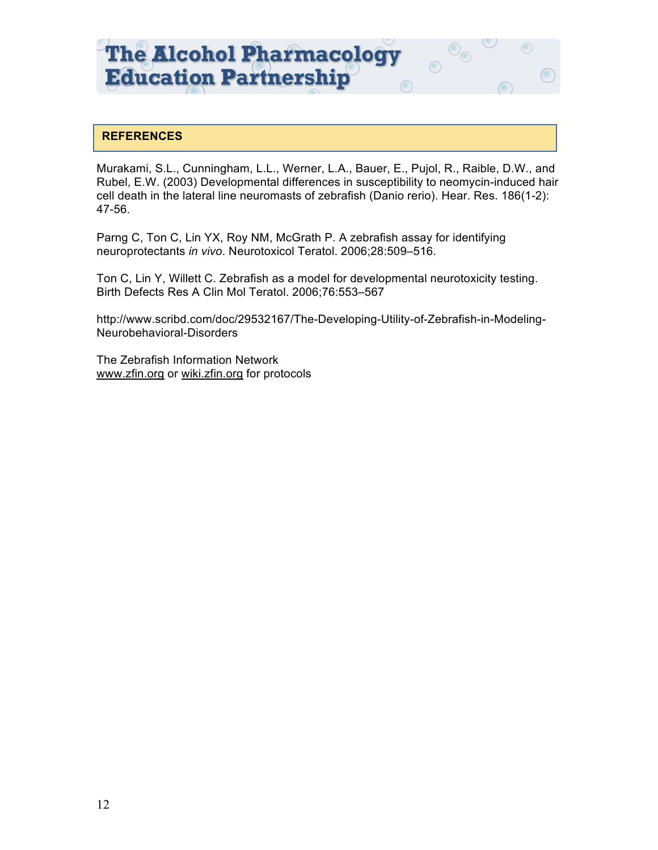# **REFERENCES**

Murakami, S.L., Cunningham, L.L., Werner, L.A., Bauer, E., Pujol, R., Raible, D.W., and Rubel, E.W. (2003) Developmental differences in susceptibility to neomycin-induced hair cell death in the lateral line neuromasts of zebrafish (Danio rerio). Hear. Res. 186(1-2): 47-56.

 $\bigcirc$ 

Parng C, Ton C, Lin YX, Roy NM, McGrath P. A zebrafish assay for identifying neuroprotectants *in vivo*. Neurotoxicol Teratol. 2006;28:509–516.

Ton C, Lin Y, Willett C. Zebrafish as a model for developmental neurotoxicity testing. Birth Defects Res A Clin Mol Teratol. 2006;76:553–567

http://www.scribd.com/doc/29532167/The-Developing-Utility-of-Zebrafish-in-Modeling-Neurobehavioral-Disorders

The Zebrafish Information Network www.zfin.org or wiki.zfin.org for protocols